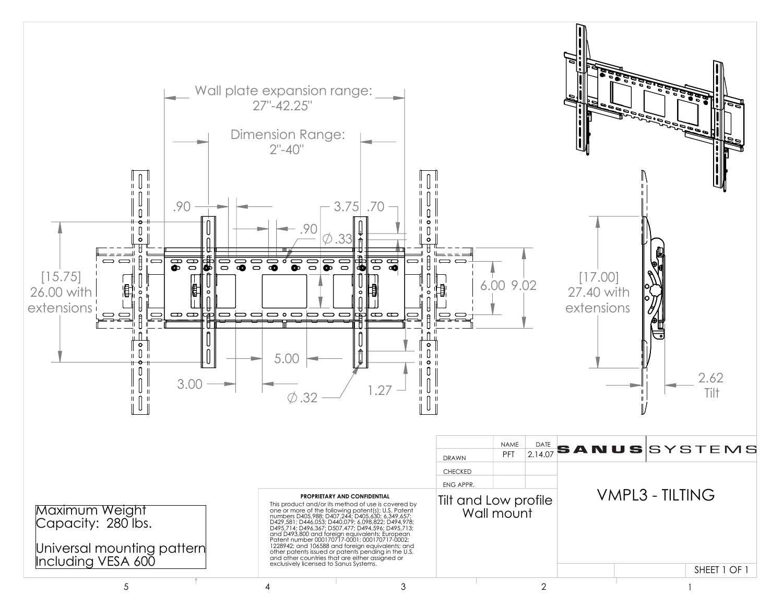